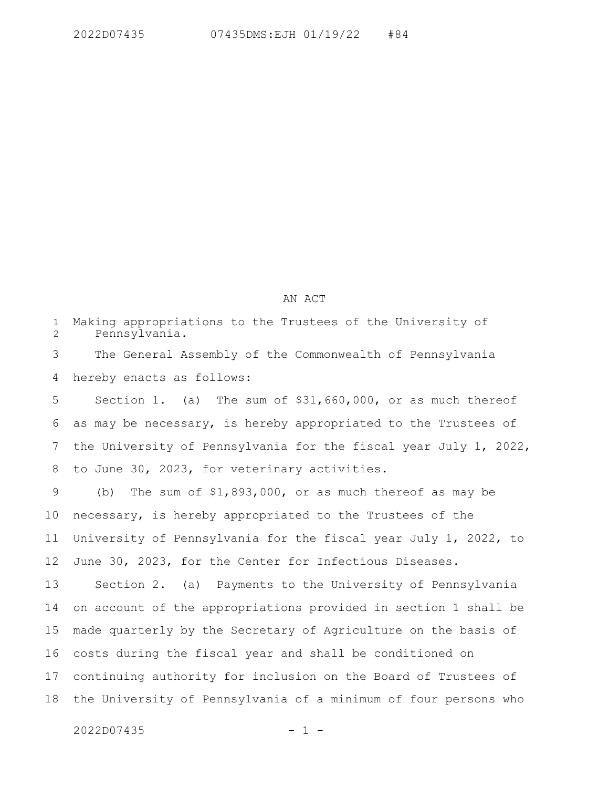## AN ACT

Making appropriations to the Trustees of the University of Pennsylvania. The General Assembly of the Commonwealth of Pennsylvania hereby enacts as follows: Section 1. (a) The sum of \$31,660,000, or as much thereof as may be necessary, is hereby appropriated to the Trustees of 1 2 3 4 5 6

the University of Pennsylvania for the fiscal year July 1, 2022, to June 30, 2023, for veterinary activities. 7 8

(b) The sum of \$1,893,000, or as much thereof as may be necessary, is hereby appropriated to the Trustees of the University of Pennsylvania for the fiscal year July 1, 2022, to June 30, 2023, for the Center for Infectious Diseases. 9 10 11 12

Section 2. (a) Payments to the University of Pennsylvania on account of the appropriations provided in section 1 shall be made quarterly by the Secretary of Agriculture on the basis of costs during the fiscal year and shall be conditioned on continuing authority for inclusion on the Board of Trustees of the University of Pennsylvania of a minimum of four persons who 13 14 15 16 17 18

 $2022D07435$  - 1 -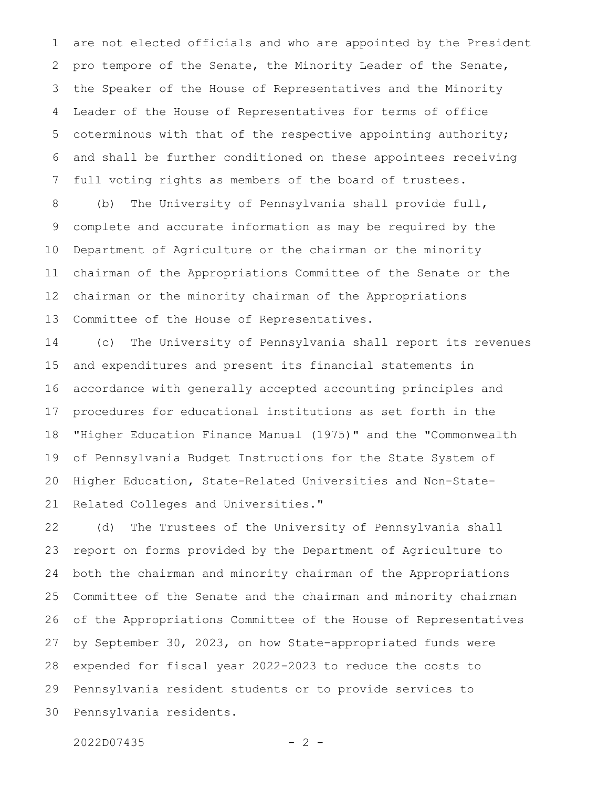are not elected officials and who are appointed by the President pro tempore of the Senate, the Minority Leader of the Senate, the Speaker of the House of Representatives and the Minority Leader of the House of Representatives for terms of office coterminous with that of the respective appointing authority; and shall be further conditioned on these appointees receiving full voting rights as members of the board of trustees. 1 2 3 4 5 6 7

(b) The University of Pennsylvania shall provide full, complete and accurate information as may be required by the Department of Agriculture or the chairman or the minority chairman of the Appropriations Committee of the Senate or the chairman or the minority chairman of the Appropriations Committee of the House of Representatives. 8 9 10 11 12 13

(c) The University of Pennsylvania shall report its revenues and expenditures and present its financial statements in accordance with generally accepted accounting principles and procedures for educational institutions as set forth in the "Higher Education Finance Manual (1975)" and the "Commonwealth of Pennsylvania Budget Instructions for the State System of Higher Education, State-Related Universities and Non-State-Related Colleges and Universities." 14 15 16 17 18 19 20 21

(d) The Trustees of the University of Pennsylvania shall report on forms provided by the Department of Agriculture to both the chairman and minority chairman of the Appropriations Committee of the Senate and the chairman and minority chairman of the Appropriations Committee of the House of Representatives by September 30, 2023, on how State-appropriated funds were expended for fiscal year 2022-2023 to reduce the costs to Pennsylvania resident students or to provide services to Pennsylvania residents. 22 23 24 25 26 27 28 29 30

```
2022D07435 - 2 -
```